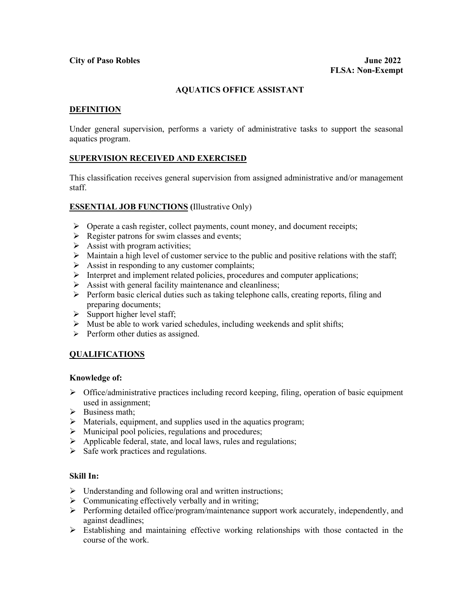# **AQUATICS OFFICE ASSISTANT**

### **DEFINITION**

Under general supervision, performs a variety of administrative tasks to support the seasonal aquatics program.

### **SUPERVISION RECEIVED AND EXERCISED**

This classification receives general supervision from assigned administrative and/or management staff.

### **ESSENTIAL JOB FUNCTIONS (**Illustrative Only)

- $\triangleright$  Operate a cash register, collect payments, count money, and document receipts;
- $\triangleright$  Register patrons for swim classes and events;
- $\triangleright$  Assist with program activities;
- $\triangleright$  Maintain a high level of customer service to the public and positive relations with the staff;
- $\triangleright$  Assist in responding to any customer complaints;
- $\triangleright$  Interpret and implement related policies, procedures and computer applications;
- $\triangleright$  Assist with general facility maintenance and cleanliness;
- $\triangleright$  Perform basic clerical duties such as taking telephone calls, creating reports, filing and preparing documents;
- $\triangleright$  Support higher level staff;
- $\triangleright$  Must be able to work varied schedules, including weekends and split shifts;
- $\triangleright$  Perform other duties as assigned.

### **QUALIFICATIONS**

#### **Knowledge of:**

- $\triangleright$  Office/administrative practices including record keeping, filing, operation of basic equipment used in assignment;
- $\triangleright$  Business math;
- $\triangleright$  Materials, equipment, and supplies used in the aquatics program;
- $\triangleright$  Municipal pool policies, regulations and procedures;
- $\triangleright$  Applicable federal, state, and local laws, rules and regulations;
- $\triangleright$  Safe work practices and regulations.

# **Skill In:**

- $\triangleright$  Understanding and following oral and written instructions;
- $\triangleright$  Communicating effectively verbally and in writing;
- Performing detailed office/program/maintenance support work accurately, independently, and against deadlines;
- Establishing and maintaining effective working relationships with those contacted in the course of the work.